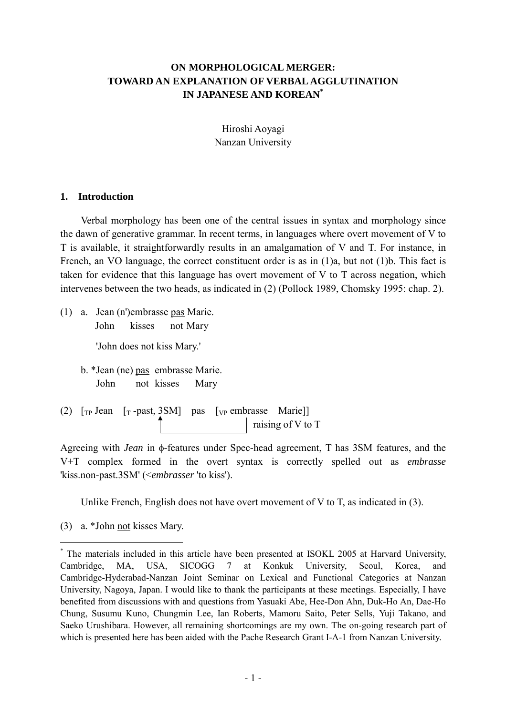# **ON MORPHOLOGICAL MERGER: TOWARD AN EXPLANATION OF VERBAL AGGLUTINATION IN JAPANESE AND KOREAN[\\*](#page-0-0)**

Hiroshi Aoyagi Nanzan University

#### **1. Introduction**

Verbal morphology has been one of the central issues in syntax and morphology since the dawn of generative grammar. In recent terms, in languages where overt movement of V to T is available, it straightforwardly results in an amalgamation of V and T. For instance, in French, an VO language, the correct constituent order is as in (1)a, but not (1)b. This fact is taken for evidence that this language has overt movement of V to T across negation, which intervenes between the two heads, as indicated in (2) (Pollock 1989, Chomsky 1995: chap. 2).

(1) a. Jean (n')embrasse pas Marie. John kisses not Mary

'John does not kiss Mary.'

b. \*Jean (ne) pas embrasse Marie. John not kisses Mary

(2)  $[T_{\rm P}]$  Jean  $[T_{\rm P}]$  -past, 3SM pas  $[V_{\rm P}]$  embrasse Marie raising of V to T

Agreeing with *Jean* in φ-features under Spec-head agreement, T has 3SM features, and the V+T complex formed in the overt syntax is correctly spelled out as *embrasse* 'kiss.non-past.3SM' (<*embrasser* 'to kiss').

Unlike French, English does not have overt movement of V to T, as indicated in  $(3)$ .

(3) a. \*John not kisses Mary.

 $\overline{a}$ 

<span id="page-0-0"></span><sup>\*</sup> The materials included in this article have been presented at ISOKL 2005 at Harvard University, Cambridge, MA, USA, SICOGG 7 at Konkuk University, Seoul, Korea, and Cambridge-Hyderabad-Nanzan Joint Seminar on Lexical and Functional Categories at Nanzan University, Nagoya, Japan. I would like to thank the participants at these meetings. Especially, I have benefited from discussions with and questions from Yasuaki Abe, Hee-Don Ahn, Duk-Ho An, Dae-Ho Chung, Susumu Kuno, Chungmin Lee, Ian Roberts, Mamoru Saito, Peter Sells, Yuji Takano, and Saeko Urushibara. However, all remaining shortcomings are my own. The on-going research part of which is presented here has been aided with the Pache Research Grant I-A-1 from Nanzan University.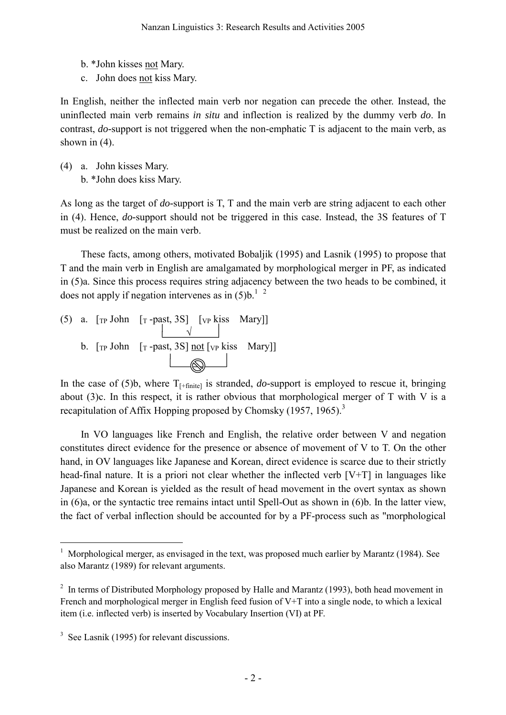- b. \*John kisses not Mary.
- c. John does not kiss Mary.

In English, neither the inflected main verb nor negation can precede the other. Instead, the uninflected main verb remains *in situ* and inflection is realized by the dummy verb *do*. In contrast, *do-*support is not triggered when the non-emphatic T is adjacent to the main verb, as shown in  $(4)$ .

(4) a. John kisses Mary. b. \*John does kiss Mary.

As long as the target of *do-*support is T, T and the main verb are string adjacent to each other in (4). Hence, *do-*support should not be triggered in this case. Instead, the 3S features of T must be realized on the main verb.

These facts, among others, motivated Bobaljik (1995) and Lasnik (1995) to propose that T and the main verb in English are amalgamated by morphological merger in PF, as indicated in (5)a. Since this process requires string adjacency between the two heads to be combined, it does not apply if negation intervenes as in  $(5)$ b.<sup>[1](#page-1-0)</sup> <sup>[2](#page-1-1)</sup>

(5) a.  $[\text{TP} \text{ John } [\text{T} \text{ -past}, 3S]$   $[\text{VP} \text{ kiss } \text{Mary}]]$  $\sqrt{2}$ b.  $[\text{TP John} \quad [\text{T -past}, 3S] \text{ not } [\text{VP kiss} \quad \text{Mary}]]$ 

In the case of  $(5)b$ , where  $T_{[-finite]}$  is stranded, *do*-support is employed to rescue it, bringing about  $(3)c$ . In this respect, it is rather obvious that morphological merger of T with V is a recapitulation of Affix Hopping proposed by Chomsky (1957, 1965).<sup>[3](#page-1-2)</sup>

In VO languages like French and English, the relative order between V and negation constitutes direct evidence for the presence or absence of movement of V to T. On the other hand, in OV languages like Japanese and Korean, direct evidence is scarce due to their strictly head-final nature. It is a priori not clear whether the inflected verb [V+T] in languages like Japanese and Korean is yielded as the result of head movement in the overt syntax as shown in (6)a, or the syntactic tree remains intact until Spell-Out as shown in (6)b. In the latter view, the fact of verbal inflection should be accounted for by a PF-process such as "morphological

 $\overline{a}$ 

<span id="page-1-0"></span><sup>&</sup>lt;sup>1</sup> Morphological merger, as envisaged in the text, was proposed much earlier by Marantz (1984). See also Marantz (1989) for relevant arguments.

<span id="page-1-1"></span> $2\;\;$  In terms of Distributed Morphology proposed by Halle and Marantz (1993), both head movement in French and morphological merger in English feed fusion of V+T into a single node, to which a lexical item (i.e. inflected verb) is inserted by Vocabulary Insertion (VI) at PF.

<span id="page-1-2"></span><sup>&</sup>lt;sup>3</sup> See Lasnik (1995) for relevant discussions.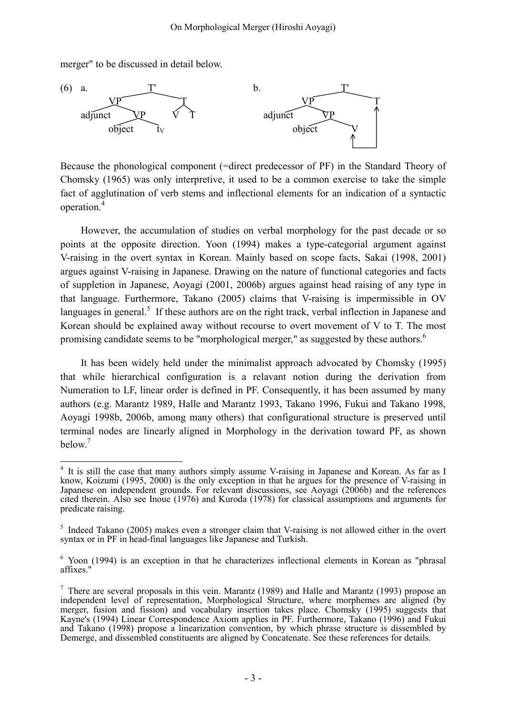merger" to be discussed in detail below.



Because the phonological component (=direct predecessor of PF) in the Standard Theory of Chomsky (1965) was only interpretive, it used to be a common exercise to take the simple fact of agglutination of verb stems and inflectional elements for an indication of a syntactic operation.<sup>[4](#page-2-0)</sup>

However, the accumulation of studies on verbal morphology for the past decade or so points at the opposite direction. Yoon (1994) makes a type-categorial argument against V-raising in the overt syntax in Korean. Mainly based on scope facts, Sakai (1998, 2001) argues against V-raising in Japanese. Drawing on the nature of functional categories and facts of suppletion in Japanese, Aoyagi (2001, 2006b) argues against head raising of any type in that language. Furthermore, Takano (2005) claims that V-raising is impermissible in OV languages in general.<sup>[5](#page-2-1)</sup> If these authors are on the right track, verbal inflection in Japanese and Korean should be explained away without recourse to overt movement of V to T. The most promising candidate seems to be "morphological merger," as suggested by these authors.<sup>[6](#page-2-2)</sup>

It has been widely held under the minimalist approach advocated by Chomsky (1995) that while hierarchical configuration is a relavant notion during the derivation from Numeration to LF, linear order is defined in PF. Consequently, it has been assumed by many authors (e.g. Marantz 1989, Halle and Marantz 1993, Takano 1996, Fukui and Takano 1998, Aoyagi 1998b, 2006b, among many others) that configurational structure is preserved until terminal nodes are linearly aligned in Morphology in the derivation toward PF, as shown below. [7](#page-2-3)

<span id="page-2-0"></span> $\overline{a}$ <sup>4</sup> It is still the case that many authors simply assume V-raising in Japanese and Korean. As far as I know, Koizumi (1995, 2000) is the only exception in that he argues for the presence of V-raising in Japanese on independent grounds. For relevant discussions, see Aoyagi (2006b) and the references cited therein. Also see Inoue (1976) and Kuroda (1978) for classical assumptions and arguments for predicate raising.

<span id="page-2-1"></span><sup>&</sup>lt;sup>5</sup> Indeed Takano (2005) makes even a stronger claim that V-raising is not allowed either in the overt syntax or in PF in head-final languages like Japanese and Turkish.

<span id="page-2-2"></span><sup>&</sup>lt;sup>6</sup> Yoon (1994) is an exception in that he characterizes inflectional elements in Korean as "phrasal affixes."

<span id="page-2-3"></span> $\frac{7}{1}$  There are several proposals in this vein. Marantz (1989) and Halle and Marantz (1993) propose an independent level of representation, Morphological Structure, where morphemes are aligned (by merger, fusion and fission) and vocabulary insertion takes place. Chomsky (1995) suggests that Kayne's (1994) Linear Correspondence Axiom applies in PF. Furthermore, Takano (1996) and Fukui and Takano (1998) propose a linearization convention, by which phrase structure is dissembled by Demerge, and dissembled constituents are aligned by Concatenate. See these references for details.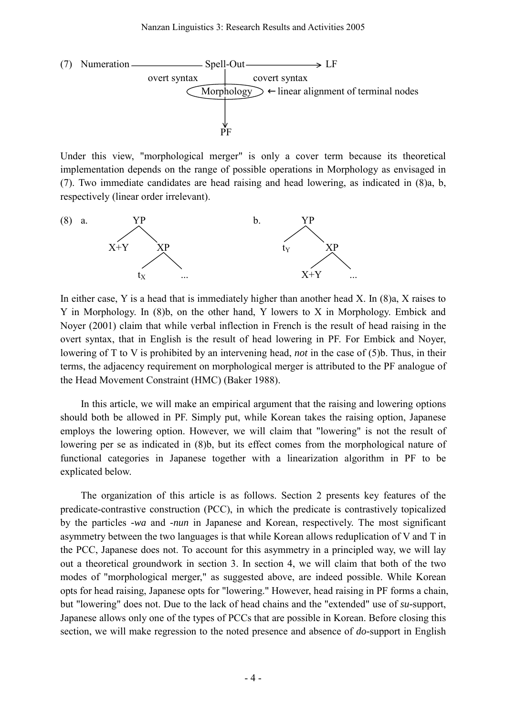

Under this view, "morphological merger" is only a cover term because its theoretical implementation depends on the range of possible operations in Morphology as envisaged in (7). Two immediate candidates are head raising and head lowering, as indicated in (8)a, b, respectively (linear order irrelevant).



In either case, Y is a head that is immediately higher than another head X. In (8)a, X raises to Y in Morphology. In (8)b, on the other hand, Y lowers to X in Morphology. Embick and Noyer (2001) claim that while verbal inflection in French is the result of head raising in the overt syntax, that in English is the result of head lowering in PF. For Embick and Noyer, lowering of T to V is prohibited by an intervening head, *not* in the case of (5)b. Thus, in their terms, the adjacency requirement on morphological merger is attributed to the PF analogue of the Head Movement Constraint (HMC) (Baker 1988).

In this article, we will make an empirical argument that the raising and lowering options should both be allowed in PF. Simply put, while Korean takes the raising option, Japanese employs the lowering option. However, we will claim that "lowering" is not the result of lowering per se as indicated in (8)b, but its effect comes from the morphological nature of functional categories in Japanese together with a linearization algorithm in PF to be explicated below.

The organization of this article is as follows. Section 2 presents key features of the predicate-contrastive construction (PCC), in which the predicate is contrastively topicalized by the particles *-wa* and *-nun* in Japanese and Korean, respectively. The most significant asymmetry between the two languages is that while Korean allows reduplication of V and T in the PCC, Japanese does not. To account for this asymmetry in a principled way, we will lay out a theoretical groundwork in section 3. In section 4, we will claim that both of the two modes of "morphological merger," as suggested above, are indeed possible. While Korean opts for head raising, Japanese opts for "lowering." However, head raising in PF forms a chain, but "lowering" does not. Due to the lack of head chains and the "extended" use of *su-*support, Japanese allows only one of the types of PCCs that are possible in Korean. Before closing this section, we will make regression to the noted presence and absence of *do-*support in English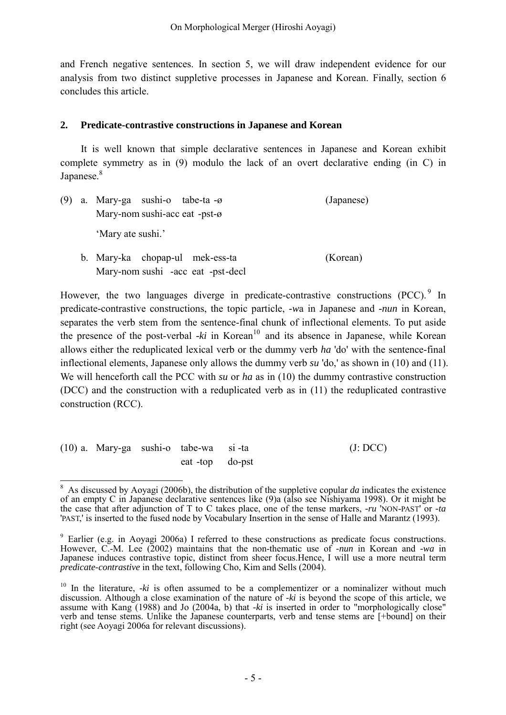and French negative sentences. In section 5, we will draw independent evidence for our analysis from two distinct suppletive processes in Japanese and Korean. Finally, section 6 concludes this article.

## **2. Predicate-contrastive constructions in Japanese and Korean**

 It is well known that simple declarative sentences in Japanese and Korean exhibit complete symmetry as in (9) modulo the lack of an overt declarative ending (in C) in Japanese.<sup>[8](#page-4-0)</sup>

| (9) | a. Mary-ga sushi-o tabe-ta -ø<br>(Japanese)<br>Mary-nom sushi-acc eat -pst- $\varnothing$<br>'Mary ate sushi.' |                                                                      |          |
|-----|----------------------------------------------------------------------------------------------------------------|----------------------------------------------------------------------|----------|
|     |                                                                                                                |                                                                      |          |
|     |                                                                                                                | b. Mary-ka chopap-ul mek-ess-ta<br>Mary-nom sushi -acc eat -pst-decl | (Korean) |

However, the two languages diverge in predicate-contrastive constructions  $(PCC)^{9}$  $(PCC)^{9}$  $(PCC)^{9}$  In predicate-contrastive constructions, the topic particle, *-w*a in Japanese and *-nun* in Korean, separates the verb stem from the sentence-final chunk of inflectional elements. To put aside the presence of the post-verbal  $-ki$  in Korean<sup>10</sup> and its absence in Japanese, while Korean allows either the reduplicated lexical verb or the dummy verb *ha* 'do' with the sentence-final inflectional elements, Japanese only allows the dummy verb *su* 'do,' as shown in (10) and (11). We will henceforth call the PCC with *su* or *ha* as in (10) the dummy contrastive construction (DCC) and the construction with a reduplicated verb as in (11) the reduplicated contrastive construction (RCC).

(10) a. Mary-ga sushi-o tabe-wa si -ta (J: DCC) eat -top do-pst

<span id="page-4-0"></span> $\overline{a}$  $8$  As discussed by Aoyagi (2006b), the distribution of the suppletive copular *da* indicates the existence of an empty C in Japanese declarative sentences like (9)a (also see Nishiyama 1998). Or it might be the case that after adjunction of T to C takes place, one of the tense markers, *-ru* 'NON-PAST' or *-ta* 'PAST,' is inserted to the fused node by Vocabulary Insertion in the sense of Halle and Marantz (1993).

<span id="page-4-1"></span><sup>&</sup>lt;sup>9</sup> Earlier (e.g. in Aoyagi 2006a) I referred to these constructions as predicate focus constructions. However, C.-M. Lee (2002) maintains that the non-thematic use of *-nun* in Korean and *-wa* in Japanese induces contrastive topic, distinct from sheer focus.Hence, I will use a more neutral term *predicate-contrastive* in the text, following Cho, Kim and Sells (2004).

<span id="page-4-2"></span><sup>&</sup>lt;sup>10</sup> In the literature,  $-ki$  is often assumed to be a complementizer or a nominalizer without much discussion. Although a close examination of the nature of *-ki* is beyond the scope of this article, we assume with Kang (1988) and Jo (2004a, b) that *-ki* is inserted in order to "morphologically close" verb and tense stems. Unlike the Japanese counterparts, verb and tense stems are [+bound] on their right (see Aoyagi 2006a for relevant discussions).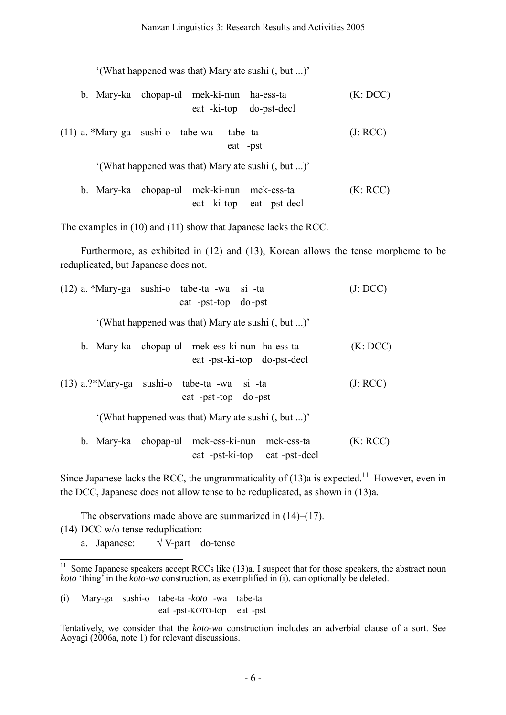'(What happened was that) Mary ate sushi (, but ...)'

- b. Mary-ka chopap-ul mek-ki-nun ha-ess-ta (K: DCC) eat -ki-top do-pst-decl
- (11) a. \*Mary-ga sushi-o tabe-wa tabe -ta (J: RCC) eat -pst

'(What happened was that) Mary ate sushi (, but ...)'

 b. Mary-ka chopap-ul mek-ki-nun mek-ess-ta (K: RCC) eat -ki-top eat -pst-decl

The examples in (10) and (11) show that Japanese lacks the RCC.

 Furthermore, as exhibited in (12) and (13), Korean allows the tense morpheme to be reduplicated, but Japanese does not.

| (12) a. *Mary-ga sushi-o tabe-ta -wa si -ta<br>eat -pst-top do-pst              | (J: DCC) |
|---------------------------------------------------------------------------------|----------|
| '(What happened was that) Mary ate sushi (, but )'                              |          |
| b. Mary-ka chopap-ul mek-ess-ki-nun ha-ess-ta<br>eat -pst-ki-top do-pst-decl    | (K: DCC) |
| $(13)$ a.?*Mary-ga sushi-o tabe-ta -wa si -ta<br>eat -pst-top do-pst            | (J: RCC) |
| '(What happened was that) Mary ate sushi (, but )'                              |          |
| b. Mary-ka chopap-ul mek-ess-ki-nun mek-ess-ta<br>eat -pst-ki-top eat -pst-decl | (K: RCC) |

Since Japanese lacks the RCC, the ungrammaticality of  $(13)a$  is expected.<sup>11</sup> However, even in the DCC, Japanese does not allow tense to be reduplicated, as shown in (13)a.

The observations made above are summarized in (14)–(17).

(14) DCC w/o tense reduplication:

 $\overline{1}$ 

a. Japanese:  $\sqrt{V}$ -part do-tense

(i) Mary-ga sushi-o tabe-ta *-koto* -wa tabe-ta eat -pst-KOTO-top eat -pst

Tentatively, we consider that the *koto-wa* construction includes an adverbial clause of a sort. See Aoyagi (2006a, note 1) for relevant discussions.

<span id="page-5-0"></span> $11$  Some Japanese speakers accept RCCs like  $(13)a$ . I suspect that for those speakers, the abstract noun *koto* 'thing' in the *koto-wa* construction, as exemplified in (i), can optionally be deleted.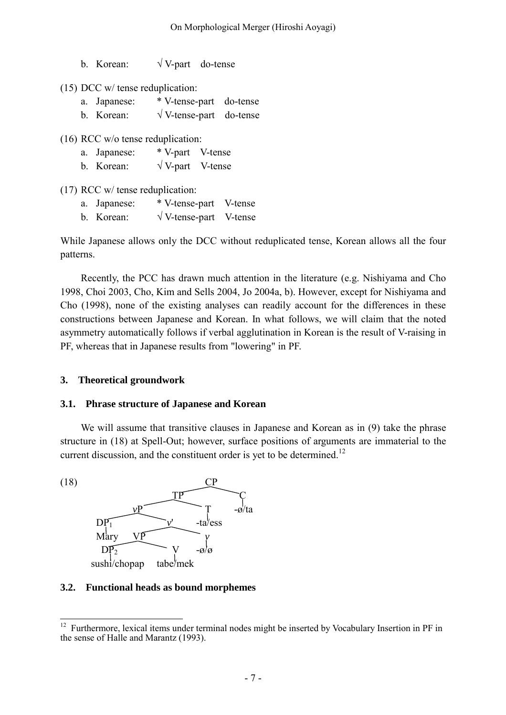b. Korean:  $\sqrt{V}$ -part do-tense

(15) DCC w/ tense reduplication:

- a. Japanese: \* V-tense-part do-tense
- b. Korean:  $\sqrt{V}$ -tense-part do-tense

(16) RCC w/o tense reduplication:

- a. Japanese: \* V-part V-tense
- b. Korean:  $\sqrt{V}$ -part V-tense

(17) RCC w/ tense reduplication:

- a. Japanese: \* V-tense-part V-tense
- b. Korean:  $\sqrt{V}$ -tense-part V-tense

While Japanese allows only the DCC without reduplicated tense, Korean allows all the four patterns.

Recently, the PCC has drawn much attention in the literature (e.g. Nishiyama and Cho 1998, Choi 2003, Cho, Kim and Sells 2004, Jo 2004a, b). However, except for Nishiyama and Cho (1998), none of the existing analyses can readily account for the differences in these constructions between Japanese and Korean. In what follows, we will claim that the noted asymmetry automatically follows if verbal agglutination in Korean is the result of V-raising in PF, whereas that in Japanese results from "lowering" in PF.

# **3. Theoretical groundwork**

# **3.1. Phrase structure of Japanese and Korean**

We will assume that transitive clauses in Japanese and Korean as in (9) take the phrase structure in (18) at Spell-Out; however, surface positions of arguments are immaterial to the current discussion, and the constituent order is yet to be determined.<sup>[12](#page-6-0)</sup>



# **3.2. Functional heads as bound morphemes**

<span id="page-6-0"></span> $12\,$ <sup>12</sup> Furthermore, lexical items under terminal nodes might be inserted by Vocabulary Insertion in PF in the sense of Halle and Marantz (1993).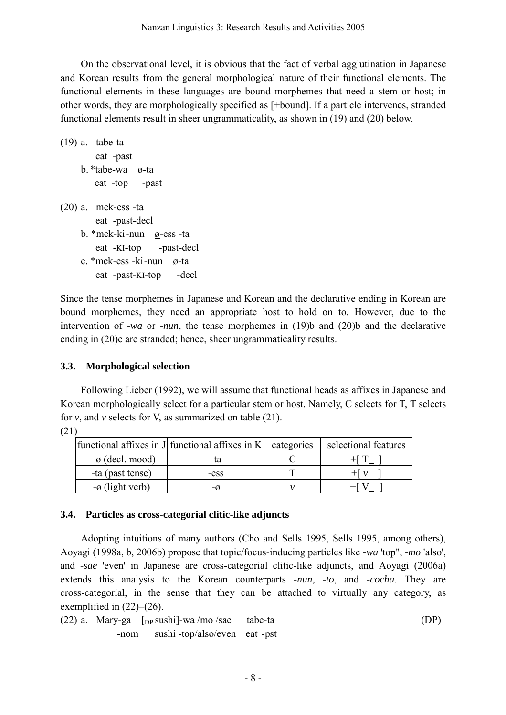On the observational level, it is obvious that the fact of verbal agglutination in Japanese and Korean results from the general morphological nature of their functional elements. The functional elements in these languages are bound morphemes that need a stem or host; in other words, they are morphologically specified as [+bound]. If a particle intervenes, stranded functional elements result in sheer ungrammaticality, as shown in (19) and (20) below.

```
(19) a. tabe-ta 
         eat -past 
      b. *tabe-wa ø-ta 
         eat -top -past 
(20) a. mek-ess -ta 
         eat -past-decl 
      b. *mek-ki -nun ø-ess -ta 
         eat -KI-top -past-decl 
      c. *mek-ess -ki -nun ø-ta
```
eat -past-KI-top -decl

Since the tense morphemes in Japanese and Korean and the declarative ending in Korean are bound morphemes, they need an appropriate host to hold on to. However, due to the intervention of *-wa* or *-nun*, the tense morphemes in (19)b and (20)b and the declarative ending in (20)c are stranded; hence, sheer ungrammaticality results.

# **3.3. Morphological selection**

 Following Lieber (1992), we will assume that functional heads as affixes in Japanese and Korean morphologically select for a particular stem or host. Namely, C selects for T, T selects for  $v$ , and  $v$  selects for V, as summarized on table  $(21)$ .

(21)

|                             | functional affixes in J functional affixes in $K$ | categories | selectional features |
|-----------------------------|---------------------------------------------------|------------|----------------------|
| $-\emptyset$ (decl. mood)   | -ta                                               |            | $+1$ 1               |
| -ta (past tense)            | -ess                                              |            | $+$ $\sqrt{v}$       |
| $-\varnothing$ (light verb) | -ø                                                |            |                      |

# **3.4. Particles as cross-categorial clitic-like adjuncts**

 Adopting intuitions of many authors (Cho and Sells 1995, Sells 1995, among others), Aoyagi (1998a, b, 2006b) propose that topic/focus-inducing particles like *-wa* 'top", *-mo* 'also', and *-sae* 'even' in Japanese are cross-categorial clitic-like adjuncts, and Aoyagi (2006a) extends this analysis to the Korean counterparts *-nun*, *-to*, and *-cocha*. They are cross-categorial, in the sense that they can be attached to virtually any category, as exemplified in  $(22)$ – $(26)$ .

(22) a. Mary-ga [DP sushi]-wa /mo /sae tabe-ta (DP) -nom sushi -top/also/even eat -pst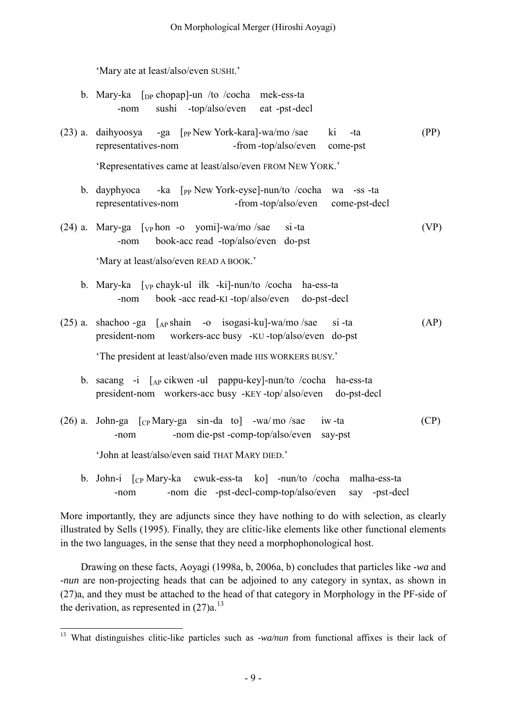'Mary ate at least/also/even SUSHI.'

<span id="page-8-0"></span>

|  | b. Mary-ka $\lceil$ <sub>DP</sub> chopap <sup><math>\rceil</math></sup> -un /to /cocha mek-ess-ta |  |
|--|---------------------------------------------------------------------------------------------------|--|
|  | -nom sushi -top/also/even eat -pst-decl                                                           |  |

(23) a. daihyoosya -ga [PP New York-kara]-wa/mo /sae ki -ta (PP) representatives-nom -from -top/also/even come-pst

'Representatives came at least/also/even FROM NEW YORK.'

- b. dayphyoca -ka [<sub>PP</sub> New York-eyse]-nun/to /cocha wa -ss -ta representatives-nom -from -top/also/even come-pst-decl
- (24) a. Mary-ga  $\lceil v \rceil$  hon -o yomi]-wa/mo /sae si -ta (VP) -nom book-acc read -top/also/even do-pst

'Mary at least/also/even READ A BOOK.'

- b. Mary-ka [vp chayk-ul ilk -ki]-nun/to /cocha ha-ess-ta -nom book -acc read-KI -top/also/even do-pst-decl
- (25) a. shachoo -ga [AP shain -o isogasi-ku]-wa/mo /sae si -ta (AP) president-nom workers-acc busy -KU -top/also/even do-pst 'The president at least/also/even made HIS WORKERS BUSY.'
	- b. sacang -i [AP cikwen -ul pappu-key]-nun/to /cocha ha-ess-ta
	- president-nom workers-acc busy -KEY -top/ also/even do-pst-decl
- (26) a. John-ga  $[CP$  Mary-ga sin-da to  $-wa/mo$  /sae iw -ta (CP) -nom -nom die-pst -comp-top/also/even say-pst 'John at least/also/even said THAT MARY DIED.'
	- b. John-i [CP Mary-ka cwuk-ess-ta ko] -nun/to /cocha malha-ess-ta -nom -nom die -pst-decl-comp-top/also/even say -pst-decl

More importantly, they are adjuncts since they have nothing to do with selection, as clearly illustrated by Sells (1995). Finally, they are clitic-like elements like other functional elements in the two languages, in the sense that they need a morphophonological host.

 Drawing on these facts, Aoyagi (1998a, b, 2006a, b) concludes that particles like *-wa* and *-nun* are non-projecting heads that can be adjoined to any category in syntax, as shown in (27)a, and they must be attached to the head of that category in Morphology in the PF-side of the derivation, as represented in  $(27)a$ .<sup>[13](#page-8-0)</sup>

 $\overline{a}$ 13 What distinguishes clitic-like particles such as *-wa/nun* from functional affixes is their lack of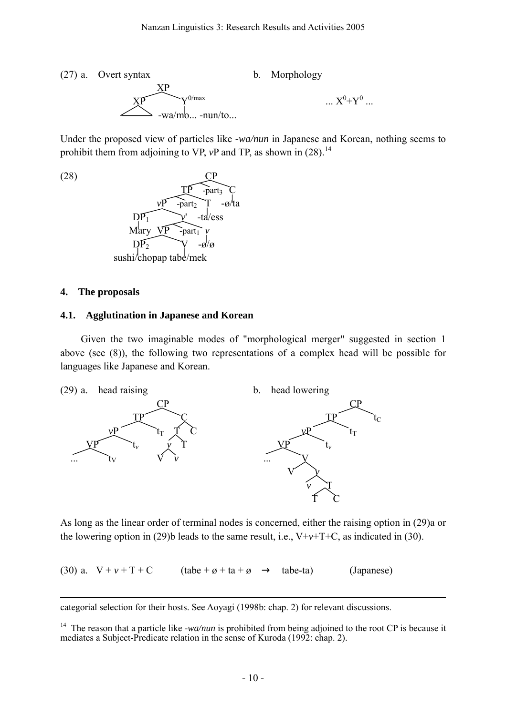(27) a. Overt syntax b. Morphology  

$$
\begin{array}{c}\nXP \\
XP \\
\hline\n\end{array}
$$
 ...  $X^0+Y^0$  ...

Under the proposed view of particles like *-wa/nun* in Japanese and Korean, nothing seems to prohibit them from adjoining to VP, *vP* and TP, as shown in (28).<sup>[14](#page-9-0)</sup>



### **4. The proposals**

### **4.1. Agglutination in Japanese and Korean**

Given the two imaginable modes of "morphological merger" suggested in section 1 above (see (8)), the following two representations of a complex head will be possible for languages like Japanese and Korean.



As long as the linear order of terminal nodes is concerned, either the raising option in (29)a or the lowering option in (29)b leads to the same result, i.e.,  $V+v+T+C$ , as indicated in (30).

(30) a.  $V + v + T + C$  (tabe +  $\alpha$  + ta +  $\alpha$  tabe-ta) (Japanese)

 $\overline{a}$ categorial selection for their hosts. See Aoyagi (1998b: chap. 2) for relevant discussions.

<span id="page-9-0"></span><sup>&</sup>lt;sup>14</sup> The reason that a particle like *-wa/nun* is prohibited from being adjoined to the root CP is because it mediates a Subject-Predicate relation in the sense of Kuroda (1992: chap. 2).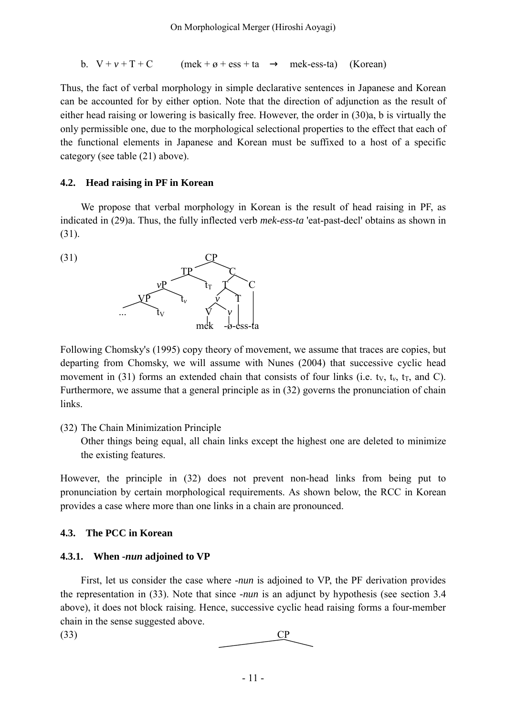b. 
$$
V + v + T + C
$$
 (mek + ø + ess + ta mek-ess-ta) (Korean)

Thus, the fact of verbal morphology in simple declarative sentences in Japanese and Korean can be accounted for by either option. Note that the direction of adjunction as the result of either head raising or lowering is basically free. However, the order in (30)a, b is virtually the only permissible one, due to the morphological selectional properties to the effect that each of the functional elements in Japanese and Korean must be suffixed to a host of a specific category (see table (21) above).

### **4.2. Head raising in PF in Korean**

We propose that verbal morphology in Korean is the result of head raising in PF, as indicated in (29)a. Thus, the fully inflected verb *mek-ess-ta* 'eat-past-decl' obtains as shown in (31).

 $(31)$ 



Following Chomsky's (1995) copy theory of movement, we assume that traces are copies, but departing from Chomsky, we will assume with Nunes (2004) that successive cyclic head movement in (31) forms an extended chain that consists of four links (i.e. t<sub>v</sub>, t<sub>v</sub>, t<sub>r</sub>, and C). Furthermore, we assume that a general principle as in (32) governs the pronunciation of chain links.

# (32) The Chain Minimization Principle

Other things being equal, all chain links except the highest one are deleted to minimize the existing features.

However, the principle in (32) does not prevent non-head links from being put to pronunciation by certain morphological requirements. As shown below, the RCC in Korean provides a case where more than one links in a chain are pronounced.

# **4.3. The PCC in Korean**

# **4.3.1. When** *-nun* **adjoined to VP**

First, let us consider the case where *-nun* is adjoined to VP, the PF derivation provides the representation in (33). Note that since *-nun* is an adjunct by hypothesis (see section 3.4 above), it does not block raising. Hence, successive cyclic head raising forms a four-member chain in the sense suggested above.

 $\overline{CP}$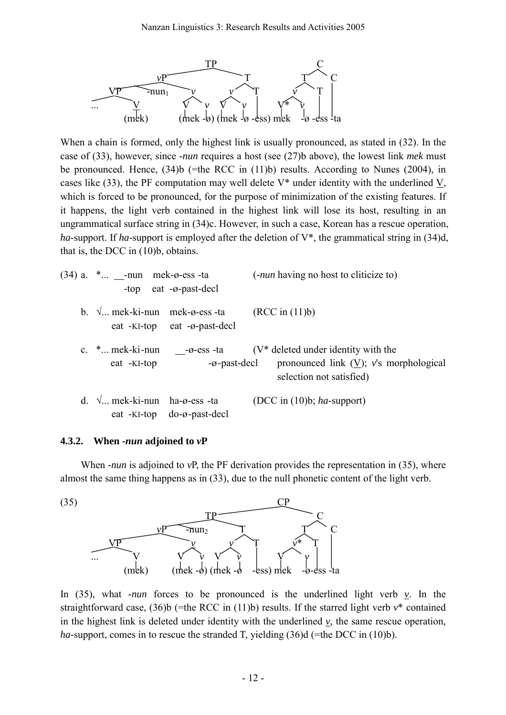

When a chain is formed, only the highest link is usually pronounced, as stated in (32). In the case of (33), however, since *-nun* requires a host (see (27)b above), the lowest link *mek* must be pronounced. Hence, (34)b (=the RCC in (11)b) results. According to Nunes (2004), in cases like (33), the PF computation may well delete V\* under identity with the underlined V, which is forced to be pronounced, for the purpose of minimization of the existing features. If it happens, the light verb contained in the highest link will lose its host, resulting in an ungrammatical surface string in (34)c. However, in such a case, Korean has a rescue operation, *ha-*support. If *ha-*support is employed after the deletion of V\*, the grammatical string in (34)d, that is, the DCC in (10)b, obtains.

| $(34)$ a. $\ast$ ___-nun mek-ø-ess -ta | -top eat $-\varnothing$ -past-decl                                     | ( <i>-nun</i> having no host to cliticize to)                                                                    |
|----------------------------------------|------------------------------------------------------------------------|------------------------------------------------------------------------------------------------------------------|
|                                        | b. $\sqrt{ }$ mek-ki-nun mek-ø-ess -ta<br>eat -KI-top eat -ø-past-decl | (RCC in (11)b)                                                                                                   |
| c. $*$ mek-ki-nun<br>eat -KI-top       | -ø-ess -ta<br>-ø-past-decl                                             | $(V^*)$ deleted under identity with the<br>pronounced link $(V)$ ; v's morphological<br>selection not satisfied) |
| d. $\sqrt{ }$ mek-ki-nun ha-ø-ess -ta  | eat - $KI$ -top do- $\emptyset$ -past-decl                             | (DCC in $(10)b$ ; ha-support)                                                                                    |

### **4.3.2. When** *-nun* **adjoined to** *v***P**

When *-nun* is adjoined to *vP*, the PF derivation provides the representation in (35), where almost the same thing happens as in (33), due to the null phonetic content of the light verb.



In  $(35)$ , what *-nun* forces to be pronounced is the underlined light verb *v*. In the straightforward case, (36)b (=the RCC in (11)b) results. If the starred light verb *v*\* contained in the highest link is deleted under identity with the underlined  $v$ , the same rescue operation, *ha*-support, comes in to rescue the stranded T, yielding (36)d (=the DCC in (10)b).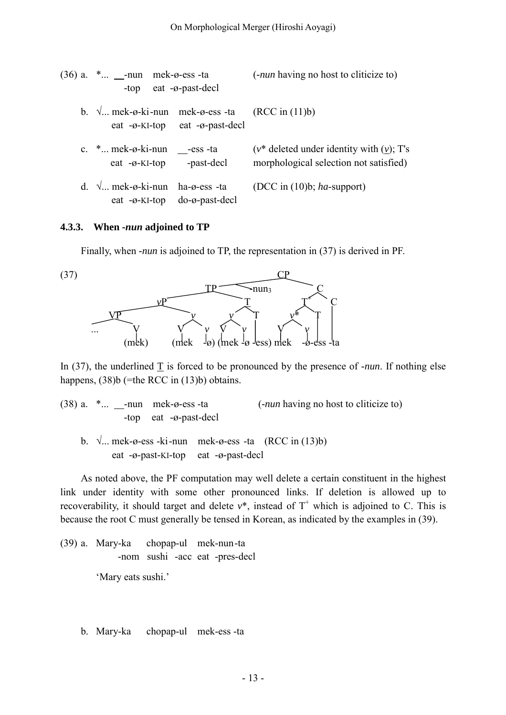| $(36)$ a. $*$ -nun mek- $\varphi$ -ess -ta<br>-top eat $-\varnothing$ -past-decl |                                                          | (- <i>nun</i> having no host to cliticize to)                                            |
|----------------------------------------------------------------------------------|----------------------------------------------------------|------------------------------------------------------------------------------------------|
| b. $\sqrt{ }$ mek-ø-ki-nun mek-ø-ess -ta (RCC in (11)b)                          | eat $-\varnothing$ -KI-top eat $-\varnothing$ -past-decl |                                                                                          |
| c. $*$ mek- $\emptyset$ -ki-nun -ess -ta<br>$eat -Ø-KI-top$ -past-decl           |                                                          | $(v^*$ deleted under identity with $(v)$ ; T's<br>morphological selection not satisfied) |
| d. $\sqrt{ }$ mek-ø-ki-nun ha-ø-ess -ta                                          | eat $-\varnothing$ -KI-top do- $\varnothing$ -past-decl  | (DCC in $(10)b$ ; ha-support)                                                            |

#### **4.3.3. When** *-nun* **adjoined to TP**

Finally, when *-nun* is adjoined to TP, the representation in (37) is derived in PF.



In (37), the underlined  $\underline{T}$  is forced to be pronounced by the presence of *-nun*. If nothing else happens,  $(38)b$  (=the RCC in  $(13)b$ ) obtains.

|  | $(38)$ a. $*$ -nun mek- $\varphi$ -ess -ta | ( <i>-nun</i> having no host to cliticize to) |
|--|--------------------------------------------|-----------------------------------------------|
|  | -top eat $-\vartheta$ -past-decl           |                                               |

b.  $\sqrt{ }$ ... mek-ø-ess -ki-nun mek-ø-ess -ta (RCC in (13)b) eat -ø-past-KI-top eat -ø-past-decl

As noted above, the PF computation may well delete a certain constituent in the highest link under identity with some other pronounced links. If deletion is allowed up to recoverability, it should target and delete  $v^*$ , instead of  $T^+$  which is adjoined to C. This is because the root C must generally be tensed in Korean, as indicated by the examples in (39).

(39) a. Mary-ka chopap-ul mek-nun -ta -nom sushi -acc eat -pres-decl 'Mary eats sushi.'

b. Mary-ka chopap-ul mek-ess -ta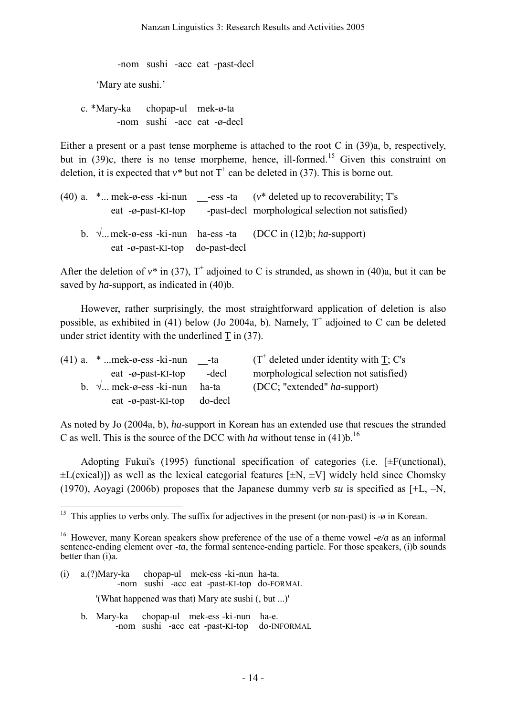-nom sushi -acc eat -past-decl 'Mary ate sushi.'

 c. \*Mary-ka chopap-ul mek-ø-ta -nom sushi -acc eat -ø-decl

Either a present or a past tense morpheme is attached to the root C in (39)a, b, respectively, but in  $(39)c$ , there is no tense morpheme, hence, ill-formed.<sup>15</sup> Given this constraint on deletion, it is expected that  $v^*$  but not  $T^+$  can be deleted in (37). This is borne out.

| $(40)$ a. $\ast$ mek- $\varphi$ -ess -ki-nun<br>eat $-\varnothing$ -past-KI-top | -ess -ta $(v^*)$ deleted up to recoverability; T's<br>-past-decl morphological selection not satisfied) |
|---------------------------------------------------------------------------------|---------------------------------------------------------------------------------------------------------|
| eat $-\varphi$ -past-KI-top do-past-decl                                        | b. $\sqrt{\dots}$ mek-ø-ess -ki-nun ha-ess -ta (DCC in (12)b; ha-support)                               |

After the deletion of  $v^*$  in (37),  $T^+$  adjoined to C is stranded, as shown in (40)a, but it can be saved by *ha-*support, as indicated in (40)b.

 However, rather surprisingly, the most straightforward application of deletion is also possible, as exhibited in (41) below (Jo 2004a, b). Namely,  $T^+$  adjoined to C can be deleted under strict identity with the underlined T in (37).

| $(41)$ a. $*$ mek- $\varphi$ -ess -ki-nun       | -ta     | $(T^{\dagger})$ deleted under identity with T; C's |
|-------------------------------------------------|---------|----------------------------------------------------|
| eat $-\varnothing$ -past-KI-top                 | -decl   | morphological selection not satisfied)             |
| b. $\sqrt{ }$ mek- $\varphi$ -ess -ki-nun ha-ta |         | (DCC; "extended" ha-support)                       |
| eat $-\varnothing$ -past-KI-top                 | do-decl |                                                    |

As noted by Jo (2004a, b), *ha-*support in Korean has an extended use that rescues the stranded C as well. This is the source of the DCC with *ha* without tense in  $(41)$ <sup>b</sup>.<sup>[16](#page-13-1)</sup>

 Adopting Fukui's (1995) functional specification of categories (i.e. [±F(unctional),  $\pm$ L(exical)]) as well as the lexical categorial features [ $\pm$ N,  $\pm$ V] widely held since Chomsky (1970), Aoyagi (2006b) proposes that the Japanese dummy verb *su* is specified as [+L, –N,

- (i) a.(?)Mary-ka chopap-ul mek-ess -ki -nun ha-ta. -nom sushi -acc eat -past-KI-top do-FORMAL '(What happened was that) Mary ate sushi (, but ...)'
	- b. Mary-ka chopap-ul mek-ess -ki -nun ha-e. -nom sushi -acc eat -past-KI-top do-INFORMAL

<span id="page-13-0"></span> $\overline{a}$ <sup>15</sup> This applies to verbs only. The suffix for adjectives in the present (or non-past) is - $\sigma$  in Korean.

<span id="page-13-1"></span><sup>16</sup> However, many Korean speakers show preference of the use of a theme vowel *-e/a* as an informal sentence-ending element over *-ta*, the formal sentence-ending particle. For those speakers, (i)b sounds better than (i)a.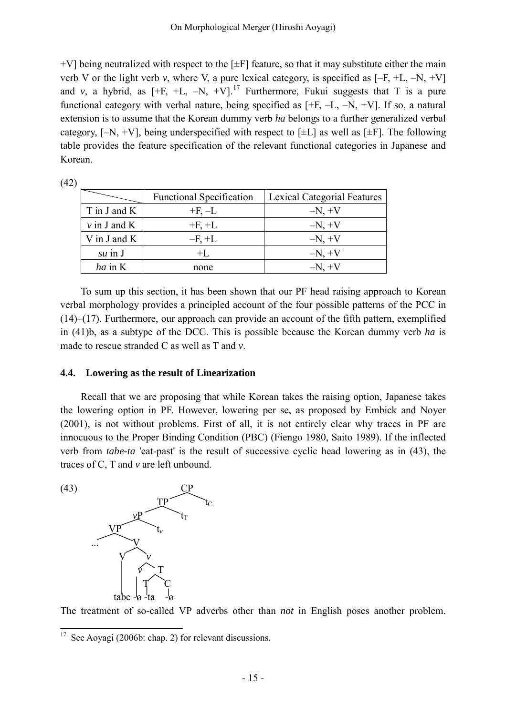$+V$ ] being neutralized with respect to the  $[±F]$  feature, so that it may substitute either the main verb V or the light verb *v*, where V, a pure lexical category, is specified as  $[-F, +L, -N, +V]$ and *v*, a hybrid, as  $[+F, +L, -N, +V]$ <sup>[17](#page-14-0)</sup> Furthermore, Fukui suggests that T is a pure functional category with verbal nature, being specified as  $[+F, -L, -N, +V]$ . If so, a natural extension is to assume that the Korean dummy verb *ha* belongs to a further generalized verbal category,  $[-N, +V]$ , being underspecified with respect to  $[\pm L]$  as well as  $[\pm F]$ . The following table provides the feature specification of the relevant functional categories in Japanese and Korean.

| (42) |                                 |           |                                    |  |
|------|---------------------------------|-----------|------------------------------------|--|
|      | <b>Functional Specification</b> |           | <b>Lexical Categorial Features</b> |  |
|      | T in J and K<br>$+F, -L$        |           | $-N, +V$                           |  |
|      | $\nu$ in J and K                | $+F, +L$  | $-N, +V$                           |  |
|      | V in J and $K$                  | $-F$ , +L | $-N, +V$                           |  |
|      | $su$ in $J$                     | $+I$ .    | $-N, +V$                           |  |
|      | $ha$ in K                       | none      | $-N, +V$                           |  |

To sum up this section, it has been shown that our PF head raising approach to Korean verbal morphology provides a principled account of the four possible patterns of the PCC in (14)–(17). Furthermore, our approach can provide an account of the fifth pattern, exemplified in (41)b, as a subtype of the DCC. This is possible because the Korean dummy verb *ha* is made to rescue stranded C as well as T and *v*.

# **4.4. Lowering as the result of Linearization**

Recall that we are proposing that while Korean takes the raising option, Japanese takes the lowering option in PF. However, lowering per se, as proposed by Embick and Noyer (2001), is not without problems. First of all, it is not entirely clear why traces in PF are innocuous to the Proper Binding Condition (PBC) (Fiengo 1980, Saito 1989). If the inflected verb from *tabe-ta* 'eat-past' is the result of successive cyclic head lowering as in (43), the traces of C, T and *v* are left unbound.

 $(43)$ 



The treatment of so-called VP adverbs other than *not* in English poses another problem.

<span id="page-14-0"></span> $\overline{a}$  $17$  See Aoyagi (2006b: chap. 2) for relevant discussions.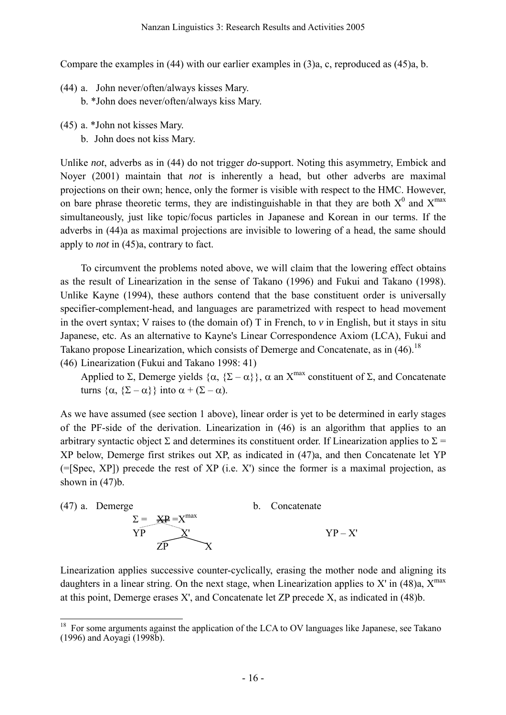Compare the examples in (44) with our earlier examples in (3)a, c, reproduced as (45)a, b.

- (44) a. John never/often/always kisses Mary.
	- b. \*John does never/often/always kiss Mary.
- (45) a. \*John not kisses Mary. b. John does not kiss Mary.

Unlike *not*, adverbs as in (44) do not trigger *do-*support. Noting this asymmetry, Embick and Noyer (2001) maintain that *not* is inherently a head, but other adverbs are maximal projections on their own; hence, only the former is visible with respect to the HMC. However, on bare phrase theoretic terms, they are indistinguishable in that they are both  $X^0$  and  $X^{max}$ simultaneously, just like topic/focus particles in Japanese and Korean in our terms. If the adverbs in (44)a as maximal projections are invisible to lowering of a head, the same should apply to *not* in (45)a, contrary to fact.

To circumvent the problems noted above, we will claim that the lowering effect obtains as the result of Linearization in the sense of Takano (1996) and Fukui and Takano (1998). Unlike Kayne (1994), these authors contend that the base constituent order is universally specifier-complement-head, and languages are parametrized with respect to head movement in the overt syntax; V raises to (the domain of) T in French, to *v* in English, but it stays in situ Japanese, etc. As an alternative to Kayne's Linear Correspondence Axiom (LCA), Fukui and Takano propose Linearization, which consists of Demerge and Concatenate, as in (46).<sup>[18](#page-15-0)</sup>

(46) Linearization (Fukui and Takano 1998: 41)

Applied to Σ, Demerge yields  $\{\alpha, \{\Sigma - \alpha\}\}\$ ,  $\alpha$  an  $X^{max}$  constituent of Σ, and Concatenate turns  $\{\alpha, \{\Sigma - \alpha\}\}\$ into  $\alpha + (\Sigma - \alpha)$ .

As we have assumed (see section 1 above), linear order is yet to be determined in early stages of the PF-side of the derivation. Linearization in (46) is an algorithm that applies to an arbitrary syntactic object  $\Sigma$  and determines its constituent order. If Linearization applies to  $\Sigma$  = XP below, Demerge first strikes out XP, as indicated in (47)a, and then Concatenate let YP  $(=[Spec, XP])$  precede the rest of XP (i.e. X') since the former is a maximal projection, as shown in (47)b.



Linearization applies successive counter-cyclically, erasing the mother node and aligning its daughters in a linear string. On the next stage, when Linearization applies to X' in  $(48)a$ ,  $X^{max}$ at this point, Demerge erases X', and Concatenate let ZP precede X, as indicated in (48)b.

<span id="page-15-0"></span> $\overline{a}$  $18$  For some arguments against the application of the LCA to OV languages like Japanese, see Takano (1996) and Aoyagi (1998b).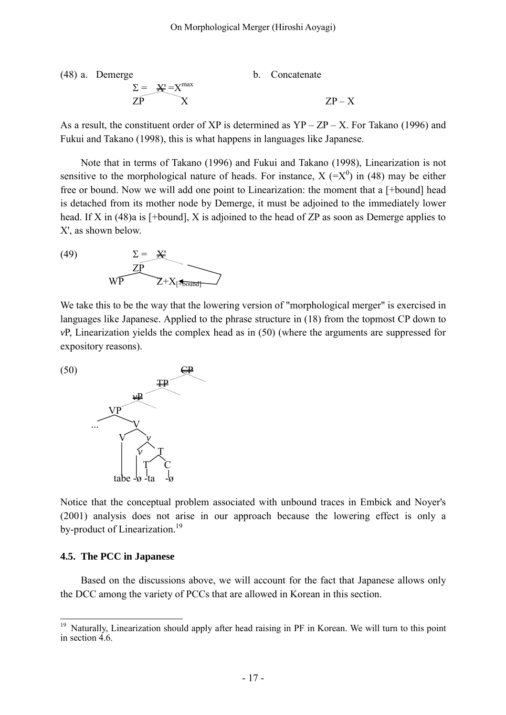(48) a. Demerge  
\n
$$
\Sigma = \frac{X!}{X} = X^{max}
$$
\n
$$
ZP - X
$$
\n
$$
ZP - X
$$
\n
$$
ZP - X
$$

As a result, the constituent order of XP is determined as  $YP - ZP - X$ . For Takano (1996) and Fukui and Takano (1998), this is what happens in languages like Japanese.

Note that in terms of Takano (1996) and Fukui and Takano (1998), Linearization is not sensitive to the morphological nature of heads. For instance,  $X (= X^0)$  in (48) may be either free or bound. Now we will add one point to Linearization: the moment that a [+bound] head is detached from its mother node by Demerge, it must be adjoined to the immediately lower head. If X in (48)a is [+bound], X is adjoined to the head of ZP as soon as Demerge applies to X', as shown below.

(49)  $\Sigma = \frac{\mathbf{V}^{\prime}}{N}$  ZP  $WP$   $Z+X_{[}$  Found

We take this to be the way that the lowering version of "morphological merger" is exercised in languages like Japanese. Applied to the phrase structure in (18) from the topmost CP down to *v*P, Linearization yields the complex head as in (50) (where the arguments are suppressed for expository reasons).



Notice that the conceptual problem associated with unbound traces in Embick and Noyer's (2001) analysis does not arise in our approach because the lowering effect is only a by-product of Linearization.<sup>[19](#page-16-0)</sup>

#### **4.5. The PCC in Japanese**

Based on the discussions above, we will account for the fact that Japanese allows only the DCC among the variety of PCCs that are allowed in Korean in this section.

<span id="page-16-0"></span> $19\,$ <sup>19</sup> Naturally, Linearization should apply after head raising in PF in Korean. We will turn to this point in section  $\vec{4}$  6.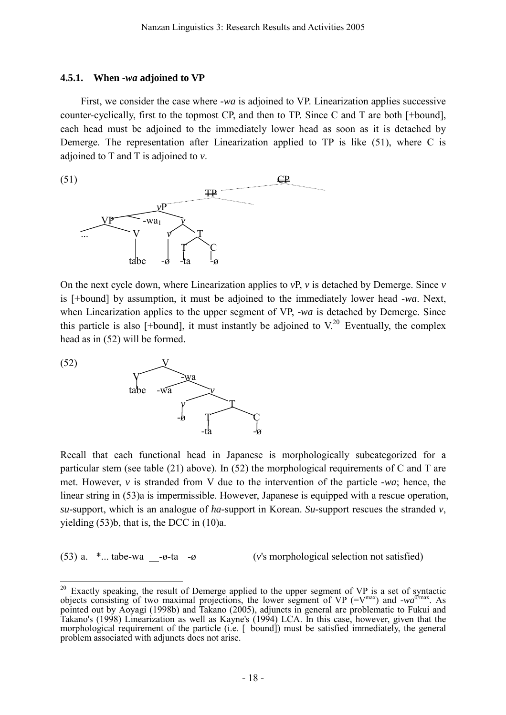# **4.5.1. When** *-wa* **adjoined to VP**

First, we consider the case where *-wa* is adjoined to VP. Linearization applies successive counter-cyclically, first to the topmost CP, and then to TP. Since C and T are both [+bound], each head must be adjoined to the immediately lower head as soon as it is detached by Demerge. The representation after Linearization applied to TP is like (51), where C is adjoined to T and T is adjoined to *v*.



On the next cycle down, where Linearization applies to  $vP$ ,  $v$  is detached by Demerge. Since  $v$ is [+bound] by assumption, it must be adjoined to the immediately lower head *-wa*. Next, when Linearization applies to the upper segment of VP, *-wa* is detached by Demerge. Since this particle is also [+bound], it must instantly be adjoined to  $V^{20}$  $V^{20}$  $V^{20}$  Eventually, the complex head as in (52) will be formed.



Recall that each functional head in Japanese is morphologically subcategorized for a particular stem (see table (21) above). In (52) the morphological requirements of C and T are met. However, *v* is stranded from V due to the intervention of the particle *-wa*; hence, the linear string in (53)a is impermissible. However, Japanese is equipped with a rescue operation, *su-*support, which is an analogue of *ha-*support in Korean. *Su-*support rescues the stranded *v*, yielding (53)b, that is, the DCC in (10)a.

(53) a. \*... tabe-wa -ø-ta -ø (*v*'s morphological selection not satisfied)

<span id="page-17-0"></span> $\overline{a}$  $20$  Exactly speaking, the result of Demerge applied to the upper segment of VP is a set of syntactic objects consisting of two maximal projections, the lower segment of VP (= $V^{max}$ ) and *-wa*<sup> $\sigma$ /max</sup>. As pointed out by Aoyagi (1998b) and Takano (2005), adjuncts in general are problematic to Fukui and Takano's (1998) Linearization as well as Kayne's (1994) LCA. In this case, however, given that the morphological requirement of the particle (i.e. [+bound]) must be satisfied immediately, the general problem associated with adjuncts does not arise.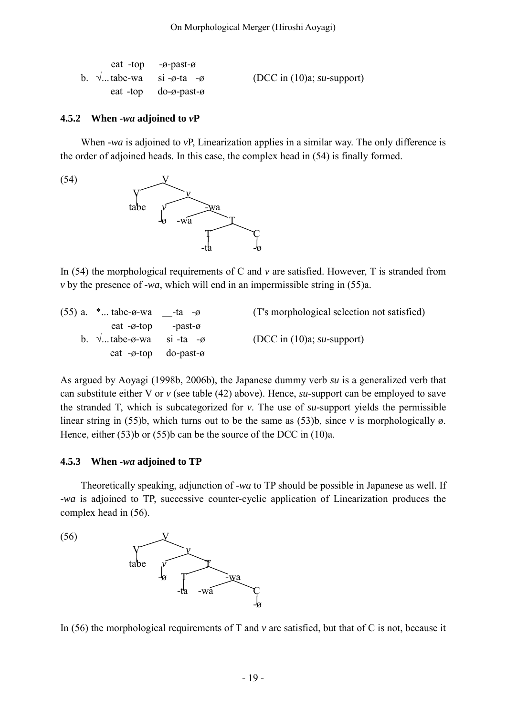|                                                    | eat -top $-\varnothing$ -past- $\varnothing$   |                               |
|----------------------------------------------------|------------------------------------------------|-------------------------------|
| b. $\sqrt{ }$ tabe-wa si- $\varphi$ -ta- $\varphi$ |                                                | (DCC in $(10)a$ ; su-support) |
|                                                    | eat -top $do-\varnothing$ -past- $\varnothing$ |                               |

#### **4.5.2 When** *-wa* **adjoined to** *v***P**

When *-wa* is adjoined to *vP*, Linearization applies in a similar way. The only difference is the order of adjoined heads. In this case, the complex head in (54) is finally formed.



In (54) the morphological requirements of C and *v* are satisfied. However, T is stranded from *v* by the presence of *-wa*, which will end in an impermissible string in (55)a.

| $(55)$ a. $*$ tabe- $\emptyset$ -wa -ta - $\emptyset$ | (T's morphological selection not satisfied) |
|-------------------------------------------------------|---------------------------------------------|
| eat $-\varphi$ -top -past- $\varphi$                  |                                             |
| b. $\sqrt{\ }$ tabe- $\varphi$ -wa si-ta- $\varphi$   | (DCC in $(10)a$ ; su-support)               |
| eat $-\varphi$ -top do-past- $\varphi$                |                                             |

As argued by Aoyagi (1998b, 2006b), the Japanese dummy verb *su* is a generalized verb that can substitute either V or *v* (see table (42) above). Hence, *su-*support can be employed to save the stranded T, which is subcategorized for *v*. The use of *su-*support yields the permissible linear string in (55)b, which turns out to be the same as (53)b, since *v* is morphologically ø. Hence, either (53)b or (55)b can be the source of the DCC in (10)a.

#### **4.5.3 When** *-wa* **adjoined to TP**

Theoretically speaking, adjunction of *-wa* to TP should be possible in Japanese as well. If *-wa* is adjoined to TP, successive counter-cyclic application of Linearization produces the complex head in (56).

 $(56)$  V *v* tabe  $-\infty$  T  $-\infty$  $-ta$  -wa  $C$ 

-ø

In (56) the morphological requirements of T and *v* are satisfied, but that of C is not, because it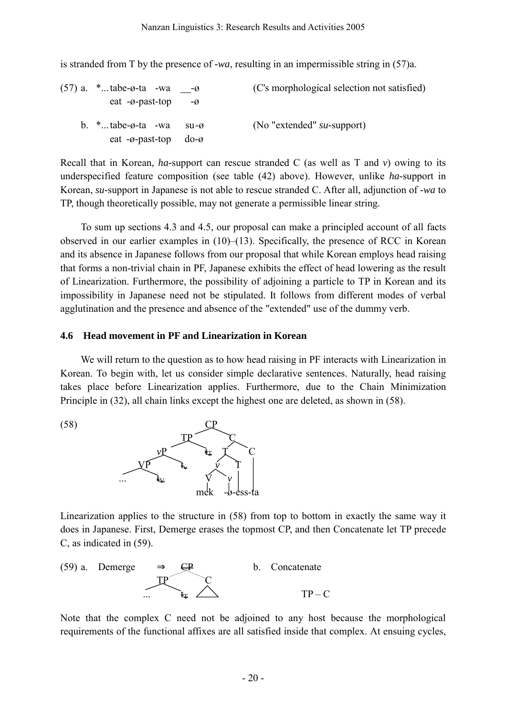is stranded from T by the presence of *-wa*, resulting in an impermissible string in (57)a.

| $(57)$ a. $*$ tabe- $\emptyset$ -ta -wa - $\emptyset$<br>eat $-\varnothing$ -past-top          | $-\varnothing$ | (C's morphological selection not satisfied) |
|------------------------------------------------------------------------------------------------|----------------|---------------------------------------------|
| b. $*$ tabe- $\emptyset$ -ta -wa su- $\emptyset$<br>eat $-\vartheta$ -past-top do- $\vartheta$ |                | (No "extended" $su$ -support)               |

Recall that in Korean, *ha-*support can rescue stranded C (as well as T and *v*) owing to its underspecified feature composition (see table (42) above). However, unlike *ha-*support in Korean, *su-*support in Japanese is not able to rescue stranded C. After all, adjunction of *-wa* to TP, though theoretically possible, may not generate a permissible linear string.

To sum up sections 4.3 and 4.5, our proposal can make a principled account of all facts observed in our earlier examples in  $(10)$ – $(13)$ . Specifically, the presence of RCC in Korean and its absence in Japanese follows from our proposal that while Korean employs head raising that forms a non-trivial chain in PF, Japanese exhibits the effect of head lowering as the result of Linearization. Furthermore, the possibility of adjoining a particle to TP in Korean and its impossibility in Japanese need not be stipulated. It follows from different modes of verbal agglutination and the presence and absence of the "extended" use of the dummy verb.

### **4.6 Head movement in PF and Linearization in Korean**

We will return to the question as to how head raising in PF interacts with Linearization in Korean. To begin with, let us consider simple declarative sentences. Naturally, head raising takes place before Linearization applies. Furthermore, due to the Chain Minimization Principle in (32), all chain links except the highest one are deleted, as shown in (58).

 TP C *v*P tT T C  $\chi \rho \qquad t_* \qquad \nu \qquad T$  $\therefore$  **t**<sub>¥</sub> **v**  $\forall$  *v* mek -ø-ess-ta

 $(58)$ 

Linearization applies to the structure in (58) from top to bottom in exactly the same way it does in Japanese. First, Demerge erases the topmost CP, and then Concatenate let TP precede C, as indicated in (59).



Note that the complex C need not be adjoined to any host because the morphological requirements of the functional affixes are all satisfied inside that complex. At ensuing cycles,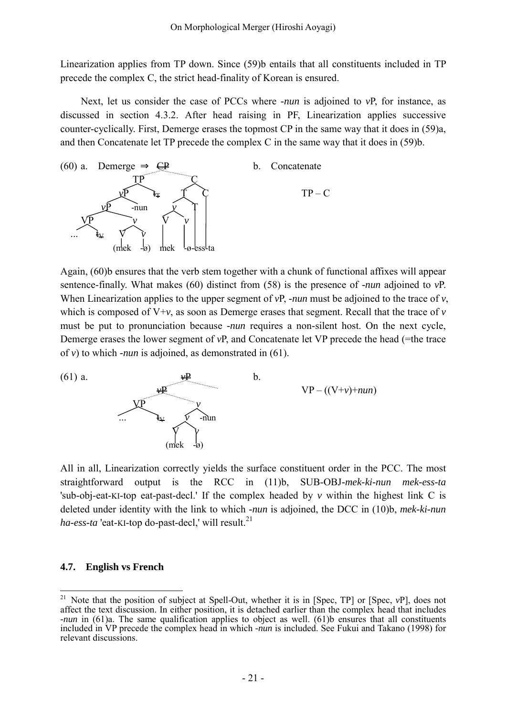Linearization applies from TP down. Since (59)b entails that all constituents included in TP precede the complex C, the strict head-finality of Korean is ensured.

Next, let us consider the case of PCCs where *-nun* is adjoined to *v*P, for instance, as discussed in section 4.3.2. After head raising in PF, Linearization applies successive counter-cyclically. First, Demerge erases the topmost CP in the same way that it does in (59)a, and then Concatenate let TP precede the complex C in the same way that it does in (59)b.



Again, (60)b ensures that the verb stem together with a chunk of functional affixes will appear sentence-finally. What makes (60) distinct from (58) is the presence of *-nun* adjoined to *v*P. When Linearization applies to the upper segment of *vP*, *-nun* must be adjoined to the trace of *v*, which is composed of  $V+v$ , as soon as Demerge erases that segment. Recall that the trace of  $v$ must be put to pronunciation because *-nun* requires a non-silent host. On the next cycle, Demerge erases the lower segment of *vP*, and Concatenate let VP precede the head (=the trace of *v*) to which *-nun* is adjoined, as demonstrated in (61).



All in all, Linearization correctly yields the surface constituent order in the PCC. The most straightforward output is the RCC in (11)b, SUB-OBJ*-mek-ki-nun mek-ess-ta* 'sub-obj-eat-KI-top eat-past-decl.' If the complex headed by *v* within the highest link C is deleted under identity with the link to which *-nun* is adjoined, the DCC in (10)b, *mek-ki-nun*  $ha\text{-}ess\text{-}ta$  'eat-KI-top do-past-decl,' will result.<sup>[21](#page-20-0)</sup>

# **4.7. English vs French**

<span id="page-20-0"></span> $21\,$ <sup>21</sup> Note that the position of subject at Spell-Out, whether it is in [Spec, TP] or [Spec, *v*P], does not affect the text discussion. In either position, it is detached earlier than the complex head that includes *-nun* in (61)a. The same qualification applies to object as well. (61)b ensures that all constituents included in VP precede the complex head in which *-nun* is included. See Fukui and Takano (1998) for relevant discussions.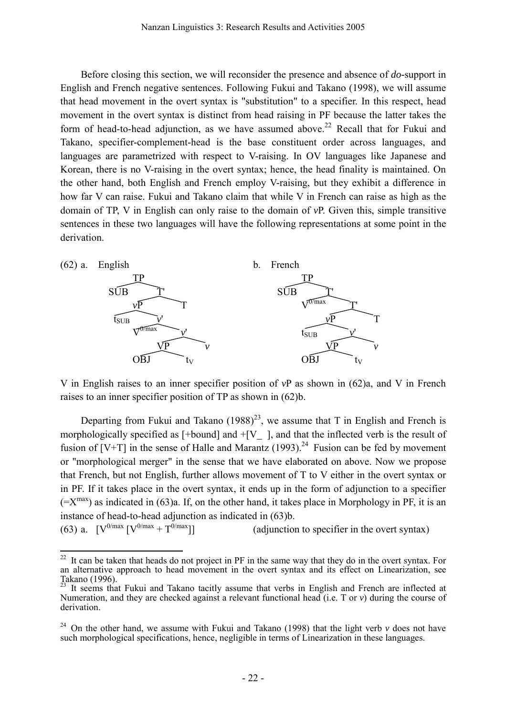Before closing this section, we will reconsider the presence and absence of *do-*support in English and French negative sentences. Following Fukui and Takano (1998), we will assume that head movement in the overt syntax is "substitution" to a specifier. In this respect, head movement in the overt syntax is distinct from head raising in PF because the latter takes the form of head-to-head adjunction, as we have assumed above.<sup>[22](#page-21-0)</sup> Recall that for Fukui and Takano, specifier-complement-head is the base constituent order across languages, and languages are parametrized with respect to V-raising. In OV languages like Japanese and Korean, there is no V-raising in the overt syntax; hence, the head finality is maintained. On the other hand, both English and French employ V-raising, but they exhibit a difference in how far V can raise. Fukui and Takano claim that while V in French can raise as high as the domain of TP, V in English can only raise to the domain of *v*P. Given this, simple transitive sentences in these two languages will have the following representations at some point in the derivation.



V in English raises to an inner specifier position of *v*P as shown in (62)a, and V in French raises to an inner specifier position of TP as shown in (62)b.

Departing from Fukui and Takano  $(1988)^{23}$ , we assume that T in English and French is morphologically specified as  $[+bound]$  and  $+[V_$ ], and that the inflected verb is the result of fusion of  $[V+T]$  in the sense of Halle and Marantz (1993).<sup>[24](#page-21-2)</sup> Fusion can be fed by movement or "morphological merger" in the sense that we have elaborated on above. Now we propose that French, but not English, further allows movement of T to V either in the overt syntax or in PF. If it takes place in the overt syntax, it ends up in the form of adjunction to a specifier  $(=X^{max})$  as indicated in (63)a. If, on the other hand, it takes place in Morphology in PF, it is an instance of head-to-head adjunction as indicated in (63)b.

(63) a.  $[V^{0/max} | V^{0/max} + T^{0/max}]$ (adjunction to specifier in the overt syntax)

<span id="page-21-0"></span> $22$ <sup>22</sup> It can be taken that heads do not project in PF in the same way that they do in the overt syntax. For an alternative approach to head movement in the overt syntax and its effect on Linearization, see<br>Takano (1996).<br><sup>23</sup> It seems that Fukui and Takano togithy common that and the particular property of the particular partic

<span id="page-21-1"></span>It seems that Fukui and Takano tacitly assume that verbs in English and French are inflected at Numeration, and they are checked against a relevant functional head (i.e. T or *v*) during the course of derivation.

<span id="page-21-2"></span><sup>&</sup>lt;sup>24</sup> On the other hand, we assume with Fukui and Takano (1998) that the light verb  $\nu$  does not have such morphological specifications, hence, negligible in terms of Linearization in these languages.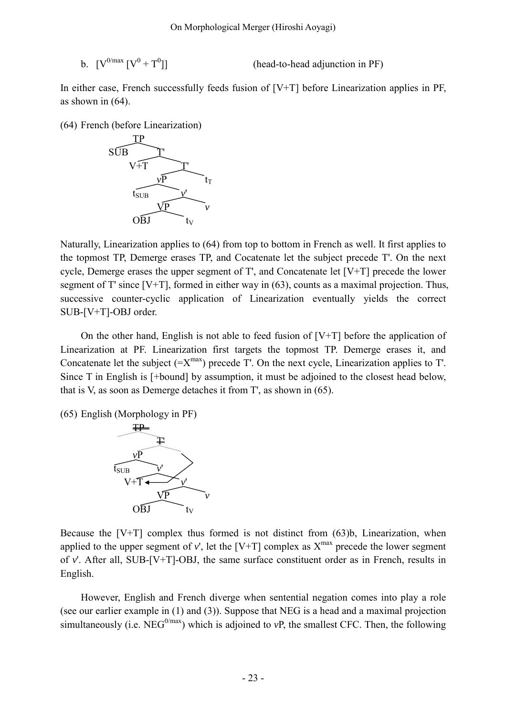b.  $[V^{0/max} [V^0 + T^0$ 

(head-to-head adjunction in PF)

In either case, French successfully feeds fusion of  $[V+T]$  before Linearization applies in PF, as shown in (64).

(64) French (before Linearization)



Naturally, Linearization applies to (64) from top to bottom in French as well. It first applies to the topmost TP, Demerge erases TP, and Cocatenate let the subject precede T'. On the next cycle, Demerge erases the upper segment of T', and Concatenate let [V+T] precede the lower segment of T' since [V+T], formed in either way in (63), counts as a maximal projection. Thus, successive counter-cyclic application of Linearization eventually yields the correct SUB-[V+T]-OBJ order.

On the other hand, English is not able to feed fusion of  $[V+T]$  before the application of Linearization at PF. Linearization first targets the topmost TP. Demerge erases it, and Concatenate let the subject  $(=X^{max})$  precede T'. On the next cycle, Linearization applies to T'. Since T in English is [+bound] by assumption, it must be adjoined to the closest head below, that is V, as soon as Demerge detaches it from T', as shown in (65).

(65) English (Morphology in PF)



Because the  $[V+T]$  complex thus formed is not distinct from  $(63)b$ , Linearization, when applied to the upper segment of  $v'$ , let the  $[V+T]$  complex as  $X^{max}$  precede the lower segment of *v*'. After all, SUB-[V+T]-OBJ, the same surface constituent order as in French, results in English.

However, English and French diverge when sentential negation comes into play a role (see our earlier example in (1) and (3)). Suppose that NEG is a head and a maximal projection simultaneously (i.e. NEG<sup>0/max</sup>) which is adjoined to *vP*, the smallest CFC. Then, the following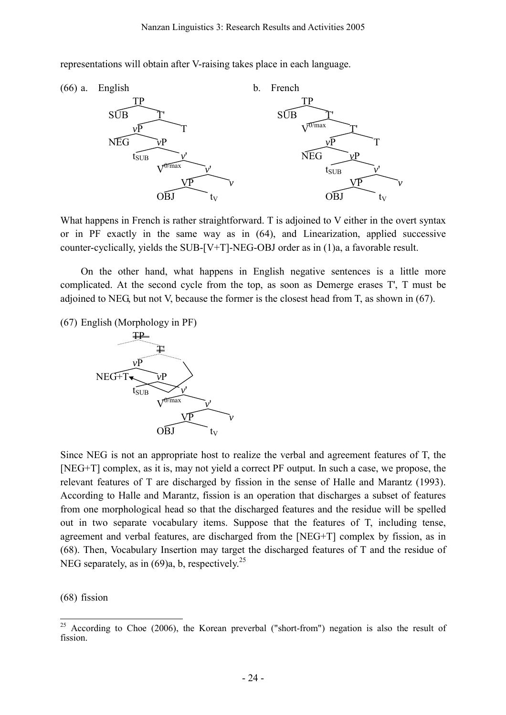representations will obtain after V-raising takes place in each language.



What happens in French is rather straightforward. T is adjoined to V either in the overt syntax or in PF exactly in the same way as in (64), and Linearization, applied successive counter-cyclically, yields the SUB-[V+T]-NEG-OBJ order as in (1)a, a favorable result.

On the other hand, what happens in English negative sentences is a little more complicated. At the second cycle from the top, as soon as Demerge erases T', T must be adjoined to NEG, but not V, because the former is the closest head from T, as shown in (67).

(67) English (Morphology in PF)



Since NEG is not an appropriate host to realize the verbal and agreement features of T, the [NEG+T] complex, as it is, may not yield a correct PF output. In such a case, we propose, the relevant features of T are discharged by fission in the sense of Halle and Marantz (1993). According to Halle and Marantz, fission is an operation that discharges a subset of features from one morphological head so that the discharged features and the residue will be spelled out in two separate vocabulary items. Suppose that the features of T, including tense, agreement and verbal features, are discharged from the [NEG+T] complex by fission, as in (68). Then, Vocabulary Insertion may target the discharged features of T and the residue of NEG separately, as in  $(69)a$ , b, respectively.<sup>[25](#page-23-0)</sup>

(68) fission

<span id="page-23-0"></span> $25\,$ <sup>25</sup> According to Choe (2006), the Korean preverbal ("short-from") negation is also the result of fission.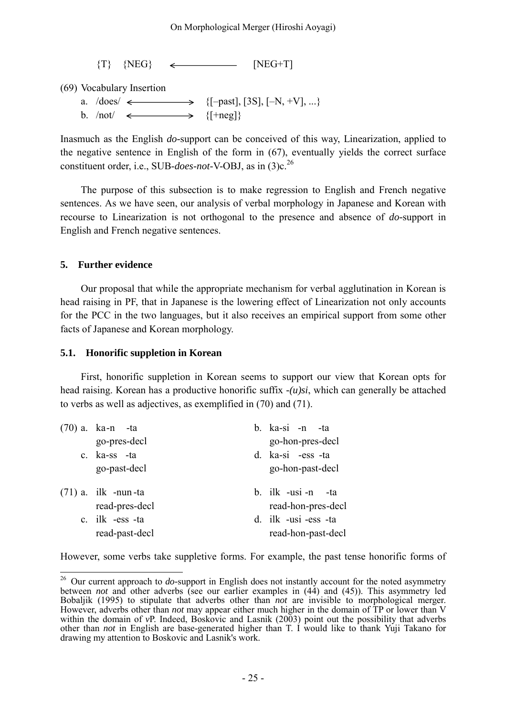$\{T\}$   $\{NEG\}$   $\leftarrow$   $\{NEG+T\}$ 

(69) Vocabulary Insertion

a.  $/\text{does}/ \leftarrow \longrightarrow \{[-past], [3S], [-N, +V], ...\}$ b.  $/not \iff$  {[+neg]}

Inasmuch as the English *do-*support can be conceived of this way, Linearization, applied to the negative sentence in English of the form in (67), eventually yields the correct surface constituent order, i.e., SUB-*does*-*not*-V-OBJ, as in (3)c.[26](#page-24-0)

The purpose of this subsection is to make regression to English and French negative sentences. As we have seen, our analysis of verbal morphology in Japanese and Korean with recourse to Linearization is not orthogonal to the presence and absence of *do-*support in English and French negative sentences.

# **5. Further evidence**

Our proposal that while the appropriate mechanism for verbal agglutination in Korean is head raising in PF, that in Japanese is the lowering effect of Linearization not only accounts for the PCC in the two languages, but it also receives an empirical support from some other facts of Japanese and Korean morphology.

# **5.1. Honorific suppletion in Korean**

First, honorific suppletion in Korean seems to support our view that Korean opts for head raising. Korean has a productive honorific suffix *-(u)si*, which can generally be attached to verbs as well as adjectives, as exemplified in (70) and (71).

| $(70)$ a. ka-n -ta    | b. ka-si -n -ta      |
|-----------------------|----------------------|
| go-pres-decl          | go-hon-pres-decl     |
| c. ka-ss -ta          | d. ka-si -ess -ta    |
| go-past-decl          | go-hon-past-decl     |
|                       |                      |
|                       |                      |
| $(71)$ a. ilk -nun-ta | b. ilk -usi -n -ta   |
| read-pres-decl        | read-hon-pres-decl   |
| c. ilk -ess -ta       | d. ilk -usi -ess -ta |

However, some verbs take suppletive forms. For example, the past tense honorific forms of

<span id="page-24-0"></span> $\overline{a}$ <sup>26</sup> Our current approach to *do*-support in English does not instantly account for the noted asymmetry between *not* and other adverbs (see our earlier examples in (44) and (45)). This asymmetry led<br>Bobaljik (1995) to stipulate that adverbs other than *not* are invisible to morphological merger. Bobaljik (1995) to stipulate that adverbs other than *not* are invisible to morphological merger. However, adverbs other than *not* may appear either much higher in the domain of TP or lower than V within the domain of *vP*. Indeed, Boskovic and Lasnik (2003) point out the possibility that adverbs other than *not* in English are base-generated higher than T. I would like to thank Yuji Takano for drawing my attention to Boskovic and Lasnik's work.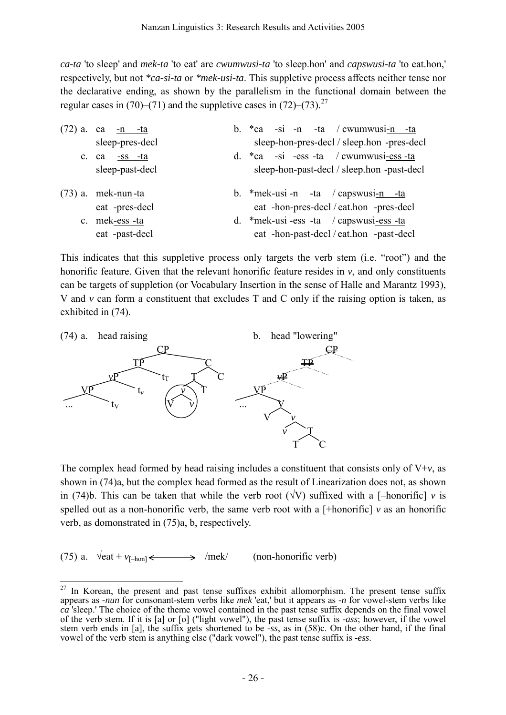*ca-ta* 'to sleep' and *mek-ta* 'to eat' are *cwumwusi-ta* 'to sleep.hon' and *capswusi-ta* 'to eat.hon,' respectively, but not *\*ca-si-ta* or *\*mek-usi-ta*. This suppletive process affects neither tense nor the declarative ending, as shown by the parallelism in the functional domain between the regular cases in (70)–(71) and the suppletive cases in (72)–(73).<sup>[27](#page-25-0)</sup>

| $(72)$ a.   | ca -n -ta            | b. $*ca$ -si -n -ta / cwumwusi-n -ta       |  |  |
|-------------|----------------------|--------------------------------------------|--|--|
|             | sleep-pres-decl      | sleep-hon-pres-decl / sleep.hon -pres-decl |  |  |
| $c_{\cdot}$ | ca <u>-ss</u> -ta    | d. $*ca$ -si -ess -ta / cwumwusi-ess -ta   |  |  |
|             | sleep-past-decl      | sleep-hon-past-decl / sleep.hon -past-decl |  |  |
|             |                      |                                            |  |  |
|             | $(73)$ a. mek-nun-ta | b. $*$ mek-usi-n -ta / capswusi-n -ta      |  |  |
|             | eat -pres-decl       | eat -hon-pres-decl / eat.hon -pres-decl    |  |  |
|             | c. mek-ess-ta        | d. *mek-usi-ess -ta / capswusi-ess -ta     |  |  |
|             | eat -past-decl       | eat -hon-past-decl / eat.hon -past-decl    |  |  |

This indicates that this suppletive process only targets the verb stem (i.e. "root") and the honorific feature. Given that the relevant honorific feature resides in  $v$ , and only constituents can be targets of suppletion (or Vocabulary Insertion in the sense of Halle and Marantz 1993), V and *v* can form a constituent that excludes T and C only if the raising option is taken, as exhibited in (74).



The complex head formed by head raising includes a constituent that consists only of  $V+v$ , as shown in (74)a, but the complex head formed as the result of Linearization does not, as shown in (74)b. This can be taken that while the verb root ( $\sqrt{V}$ ) suffixed with a [-honorific] *v* is spelled out as a non-honorific verb, the same verb root with a  $[+$ honorific]  $\nu$  as an honorific verb, as domonstrated in (75)a, b, respectively.

(75) a.  $\sqrt{\det + v_{[-\text{hon}]}} \leftarrow \frac{}{\text{Im} \cdot \det}$  (non-honorific verb)

<span id="page-25-0"></span> $\overline{a}$  $27$  In Korean, the present and past tense suffixes exhibit allomorphism. The present tense suffix appears as *-nun* for consonant-stem verbs like *mek* 'eat,' but it appears as *-n* for vowel-stem verbs like *ca* 'sleep.' The choice of the theme vowel contained in the past tense suffix depends on the final vowel of the verb stem. If it is [a] or [o] ("light vowel"), the past tense suffix is *-ass*; however, if the vowel stem verb ends in [a], the suffix gets shortened to be *-ss*, as in (58)c. On the other hand, if the final vowel of the verb stem is anything else ("dark vowel"), the past tense suffix is *-ess*.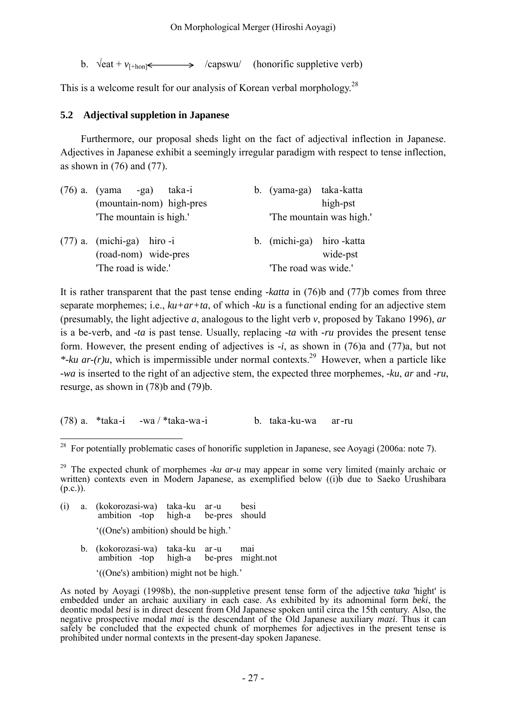b.  $\sqrt{\text{eat} + v_{\text{I+hon}} \leq \sqrt{\text{capswu}}$  (honorific suppletive verb)

This is a welcome result for our analysis of Korean verbal morphology.<sup>[28](#page-26-0)</sup>

# **5.2 Adjectival suppletion in Japanese**

Furthermore, our proposal sheds light on the fact of adjectival inflection in Japanese. Adjectives in Japanese exhibit a seemingly irregular paradigm with respect to tense inflection, as shown in  $(76)$  and  $(77)$ .

| $(76)$ a. (yama -ga)<br>taka-i                      | b. (yama-ga) taka-katta  |                         |  |
|-----------------------------------------------------|--------------------------|-------------------------|--|
| (mountain-nom) high-pres                            |                          | high-pst                |  |
| The mountain is high."                              |                          | The mountain was high." |  |
| $(77)$ a. (michi-ga) hiro-i<br>(road-nom) wide-pres | b. (michi-ga) hiro-katta | wide-pst                |  |
| 'The road is wide.'                                 | 'The road was wide.'     |                         |  |

It is rather transparent that the past tense ending *-katta* in (76)b and (77)b comes from three separate morphemes; i.e., *ku+ar+ta*, of which *-ku* is a functional ending for an adjective stem (presumably, the light adjective *a*, analogous to the light verb *v*, proposed by Takano 1996), *ar* is a be-verb, and *-ta* is past tense. Usually, replacing *-ta* with *-ru* provides the present tense form. However, the present ending of adjectives is *-i*, as shown in (76)a and (77)a, but not \*-ku ar- $(r)u$ , which is impermissible under normal contexts.<sup>[29](#page-26-1)</sup> However, when a particle like *-wa* is inserted to the right of an adjective stem, the expected three morphemes, *-ku*, *ar* and *-ru*, resurge, as shown in (78)b and (79)b.

(78) a. \*taka -i -wa / \*taka-wa -i b. taka -ku-wa ar -ru

- (i) a. (kokorozasi-wa) taka -ku ar -u besi ambition -top high-a be-pres should '((One's) ambition) should be high.'
	- b. (kokorozasi-wa) taka -ku ar -u mai ambition -top high-a be-pres might.not

'((One's) ambition) might not be high.'

As noted by Aoyagi (1998b), the non-suppletive present tense form of the adjective *taka* 'hight' is embedded under an archaic auxiliary in each case. As exhibited by its adnominal form *beki*, the deontic modal *besi* is in direct descent from Old Japanese spoken until circa the 15th century. Also, the negative prospective modal *mai* is the descendant of the Old Japanese auxiliary *mazi*. Thus it can safely be concluded that the expected chunk of morphemes for adjectives in the present tense is prohibited under normal contexts in the present-day spoken Japanese.

<span id="page-26-0"></span> $\overline{a}$ <sup>28</sup> For potentially problematic cases of honorific suppletion in Japanese, see Aoyagi (2006a: note 7).

<span id="page-26-1"></span><sup>29</sup> The expected chunk of morphemes *-ku ar-u* may appear in some very limited (mainly archaic or written) contexts even in Modern Japanese, as exemplified below ((i)b due to Saeko Urushibara  $(p.c.)$ ).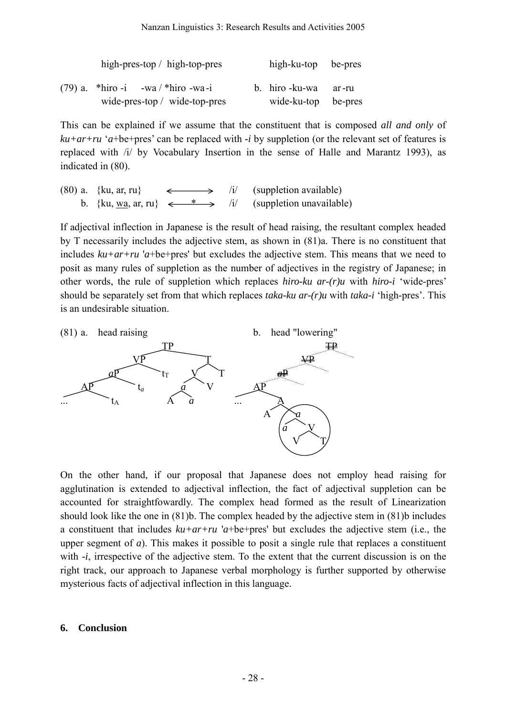|  | high-pres-top $/$ high-top-pres       | high-ku-top be-pres       |  |
|--|---------------------------------------|---------------------------|--|
|  | $(79)$ a. *hiro -i -wa / *hiro -wa -i | b. hiro - ku - wa ar - ru |  |
|  | wide-pres-top $/$ wide-top-pres       | wide-ku-top be-pres       |  |

This can be explained if we assume that the constituent that is composed *all and only* of *ku+ar+ru* '*a*+be+pres' can be replaced with *-i* by suppletion (or the relevant set of features is replaced with /i/ by Vocabulary Insertion in the sense of Halle and Marantz 1993), as indicated in (80).

(80) a.  $\{ku, ar, ru\} \longleftrightarrow li/$  (suppletion available) b. {ku, wa, ar, ru}  $\leftarrow^* \rightarrow /i/$  (suppletion unavailable)

If adjectival inflection in Japanese is the result of head raising, the resultant complex headed by T necessarily includes the adjective stem, as shown in (81)a. There is no constituent that includes *ku+ar+ru* '*a*+be+pres' but excludes the adjective stem. This means that we need to posit as many rules of suppletion as the number of adjectives in the registry of Japanese; in other words, the rule of suppletion which replaces *hiro-ku ar-(r)u* with *hiro-i* 'wide-pres' should be separately set from that which replaces *taka-ku ar-(r)u* with *taka-i* 'high-pres'. This is an undesirable situation.



On the other hand, if our proposal that Japanese does not employ head raising for agglutination is extended to adjectival inflection, the fact of adjectival suppletion can be accounted for straightfowardly. The complex head formed as the result of Linearization should look like the one in (81)b. The complex headed by the adjective stem in (81)b includes a constituent that includes *ku+ar+ru* '*a*+be+pres' but excludes the adjective stem (i.e., the upper segment of *a*). This makes it possible to posit a single rule that replaces a constituent with *-i*, irrespective of the adjective stem. To the extent that the current discussion is on the right track, our approach to Japanese verbal morphology is further supported by otherwise mysterious facts of adjectival inflection in this language.

### **6. Conclusion**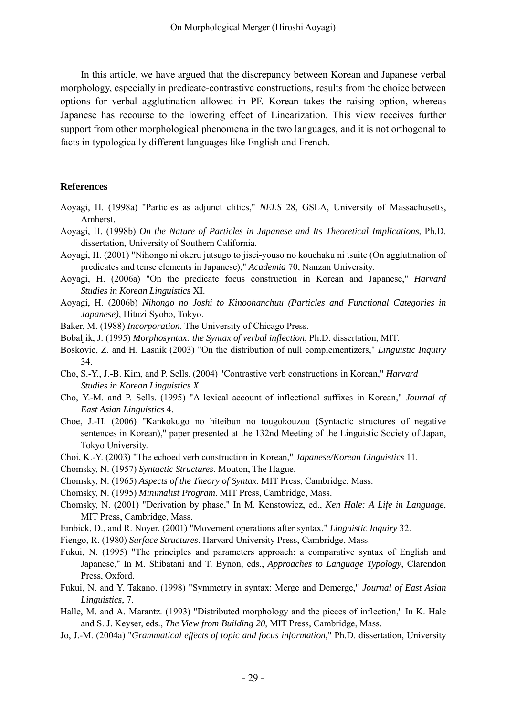In this article, we have argued that the discrepancy between Korean and Japanese verbal morphology, especially in predicate-contrastive constructions, results from the choice between options for verbal agglutination allowed in PF. Korean takes the raising option, whereas Japanese has recourse to the lowering effect of Linearization. This view receives further support from other morphological phenomena in the two languages, and it is not orthogonal to facts in typologically different languages like English and French.

### **References**

- Aoyagi, H. (1998a) "Particles as adjunct clitics," *NELS* 28, GSLA, University of Massachusetts, Amherst.
- Aoyagi, H. (1998b) *On the Nature of Particles in Japanese and Its Theoretical Implications*, Ph.D. dissertation, University of Southern California.
- Aoyagi, H. (2001) "Nihongo ni okeru jutsugo to jisei-youso no kouchaku ni tsuite (On agglutination of predicates and tense elements in Japanese)," *Academia* 70, Nanzan University.
- Aoyagi, H. (2006a) "On the predicate focus construction in Korean and Japanese," *Harvard Studies in Korean Linguistics* XI.
- Aoyagi, H. (2006b) *Nihongo no Joshi to Kinoohanchuu (Particles and Functional Categories in Japanese)*, Hituzi Syobo, Tokyo.
- Baker, M. (1988) *Incorporation*. The University of Chicago Press.
- Bobaljik, J. (1995) *Morphosyntax: the Syntax of verbal inflection*, Ph.D. dissertation, MIT.
- Boskovic, Z. and H. Lasnik (2003) "On the distribution of null complementizers," *Linguistic Inquiry* 34.
- Cho, S.-Y., J.-B. Kim, and P. Sells. (2004) "Contrastive verb constructions in Korean," *Harvard Studies in Korean Linguistics X*.
- Cho, Y.-M. and P. Sells. (1995) "A lexical account of inflectional suffixes in Korean," *Journal of East Asian Linguistics* 4.
- Choe, J.-H. (2006) "Kankokugo no hiteibun no tougokouzou (Syntactic structures of negative sentences in Korean)," paper presented at the 132nd Meeting of the Linguistic Society of Japan, Tokyo University.
- Choi, K.-Y. (2003) "The echoed verb construction in Korean," *Japanese/Korean Linguistics* 11.
- Chomsky, N. (1957) *Syntactic Structures*. Mouton, The Hague.
- Chomsky, N. (1965) *Aspects of the Theory of Syntax*. MIT Press, Cambridge, Mass.
- Chomsky, N. (1995) *Minimalist Program*. MIT Press, Cambridge, Mass.
- Chomsky, N. (2001) "Derivation by phase," In M. Kenstowicz, ed., *Ken Hale: A Life in Language*, MIT Press, Cambridge, Mass.
- Embick, D., and R. Noyer. (2001) "Movement operations after syntax," *Linguistic Inquiry* 32.
- Fiengo, R. (1980) *Surface Structures*. Harvard University Press, Cambridge, Mass.
- Fukui, N. (1995) "The principles and parameters approach: a comparative syntax of English and Japanese," In M. Shibatani and T. Bynon, eds., *Approaches to Language Typology*, Clarendon Press, Oxford.
- Fukui, N. and Y. Takano. (1998) "Symmetry in syntax: Merge and Demerge," *Journal of East Asian Linguistics*, 7.
- Halle, M. and A. Marantz. (1993) "Distributed morphology and the pieces of inflection," In K. Hale and S. J. Keyser, eds., *The View from Building 20*, MIT Press, Cambridge, Mass.
- Jo, J.-M. (2004a) "*Grammatical effects of topic and focus information*," Ph.D. dissertation, University